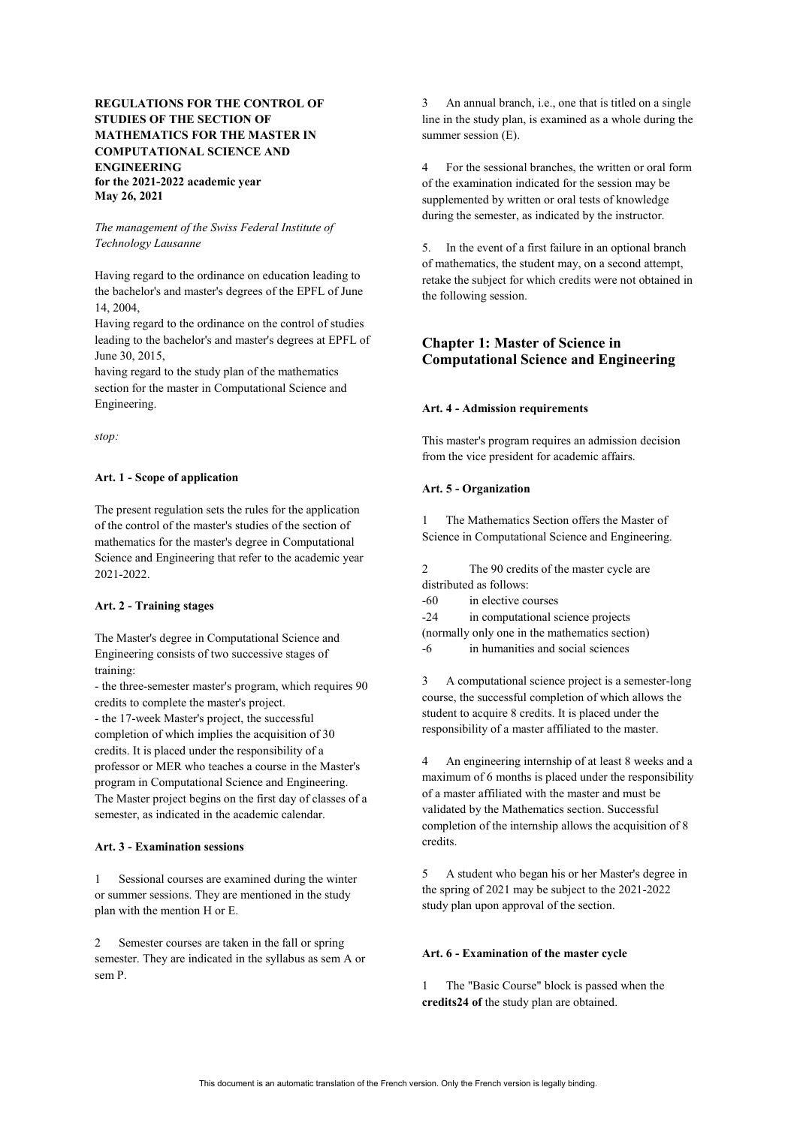# **REGULATIONS FOR THE CONTROL OF STUDIES OF THE SECTION OF MATHEMATICS FOR THE MASTER IN COMPUTATIONAL SCIENCE AND ENGINEERING for the 2021-2022 academic year May 26, 2021**

## *The management of the Swiss Federal Institute of Technology Lausanne*

Having regard to the ordinance on education leading to the bachelor's and master's degrees of the EPFL of June 14, 2004,

Having regard to the ordinance on the control of studies leading to the bachelor's and master's degrees at EPFL of June 30, 2015,

having regard to the study plan of the mathematics section for the master in Computational Science and Engineering.

*stop:*

## **Art. 1 - Scope of application**

The present regulation sets the rules for the application of the control of the master's studies of the section of mathematics for the master's degree in Computational Science and Engineering that refer to the academic year 2021-2022.

#### **Art. 2 - Training stages**

The Master's degree in Computational Science and Engineering consists of two successive stages of training:

- the three-semester master's program, which requires 90 credits to complete the master's project.

- the 17-week Master's project, the successful completion of which implies the acquisition of 30 credits. It is placed under the responsibility of a professor or MER who teaches a course in the Master's program in Computational Science and Engineering. The Master project begins on the first day of classes of a semester, as indicated in the academic calendar.

#### **Art. 3 - Examination sessions**

1 Sessional courses are examined during the winter or summer sessions. They are mentioned in the study plan with the mention H or E.

2 Semester courses are taken in the fall or spring semester. They are indicated in the syllabus as sem A or sem P.

3 An annual branch, i.e., one that is titled on a single line in the study plan, is examined as a whole during the summer session (E).

4 For the sessional branches, the written or oral form of the examination indicated for the session may be supplemented by written or oral tests of knowledge during the semester, as indicated by the instructor.

5. In the event of a first failure in an optional branch of mathematics, the student may, on a second attempt, retake the subject for which credits were not obtained in the following session.

# **Chapter 1: Master of Science in Computational Science and Engineering**

## **Art. 4 - Admission requirements**

This master's program requires an admission decision from the vice president for academic affairs.

## **Art. 5 - Organization**

1 The Mathematics Section offers the Master of Science in Computational Science and Engineering.

2 The 90 credits of the master cycle are distributed as follows: -60 in elective courses

-24 in computational science projects (normally only one in the mathematics section) -6 in humanities and social sciences

3 A computational science project is a semester-long course, the successful completion of which allows the student to acquire 8 credits. It is placed under the responsibility of a master affiliated to the master.

4 An engineering internship of at least 8 weeks and a maximum of 6 months is placed under the responsibility of a master affiliated with the master and must be validated by the Mathematics section. Successful completion of the internship allows the acquisition of 8 credits.

5 A student who began his or her Master's degree in the spring of 2021 may be subject to the 2021-2022 study plan upon approval of the section.

#### **Art. 6 - Examination of the master cycle**

1 The "Basic Course" block is passed when the **credits24 of** the study plan are obtained.